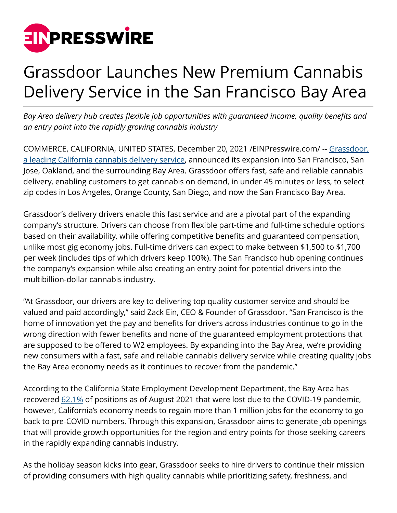

## Grassdoor Launches New Premium Cannabis Delivery Service in the San Francisco Bay Area

*Bay Area delivery hub creates flexible job opportunities with guaranteed income, quality benefits and an entry point into the rapidly growing cannabis industry*

COMMERCE, CALIFORNIA, UNITED STATES, December 20, 2021 [/EINPresswire.com/](http://www.einpresswire.com) -- [Grassdoor,](http://grassdoor.com) [a leading California cannabis delivery service,](http://grassdoor.com) announced its expansion into San Francisco, San Jose, Oakland, and the surrounding Bay Area. Grassdoor offers fast, safe and reliable cannabis delivery, enabling customers to get cannabis on demand, in under 45 minutes or less, to select zip codes in Los Angeles, Orange County, San Diego, and now the San Francisco Bay Area.

Grassdoor's delivery drivers enable this fast service and are a pivotal part of the expanding company's structure. Drivers can choose from flexible part-time and full-time schedule options based on their availability, while offering competitive benefits and guaranteed compensation, unlike most gig economy jobs. Full-time drivers can expect to make between \$1,500 to \$1,700 per week (includes tips of which drivers keep 100%). The San Francisco hub opening continues the company's expansion while also creating an entry point for potential drivers into the multibillion-dollar cannabis industry.

"At Grassdoor, our drivers are key to delivering top quality customer service and should be valued and paid accordingly," said Zack Ein, CEO & Founder of Grassdoor. "San Francisco is the home of innovation yet the pay and benefits for drivers across industries continue to go in the wrong direction with fewer benefits and none of the guaranteed employment protections that are supposed to be offered to W2 employees. By expanding into the Bay Area, we're providing new consumers with a fast, safe and reliable cannabis delivery service while creating quality jobs the Bay Area economy needs as it continues to recover from the pandemic."

According to the California State Employment Development Department, the Bay Area has recovered  $62.1\%$  of positions as of August 2021 that were lost due to the COVID-19 pandemic, however, California's economy needs to regain more than 1 million jobs for the economy to go back to pre-COVID numbers. Through this expansion, Grassdoor aims to generate job openings that will provide growth opportunities for the region and entry points for those seeking careers in the rapidly expanding cannabis industry.

As the holiday season kicks into gear, Grassdoor seeks to hire drivers to continue their mission of providing consumers with high quality cannabis while prioritizing safety, freshness, and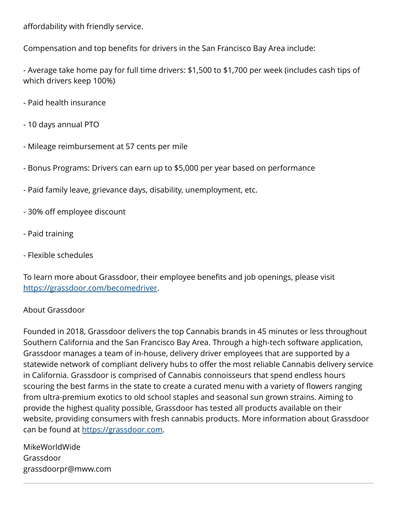affordability with friendly service.

Compensation and top benefits for drivers in the San Francisco Bay Area include:

- Average take home pay for full time drivers: \$1,500 to \$1,700 per week (includes cash tips of which drivers keep 100%)

- Paid health insurance
- 10 days annual PTO
- Mileage reimbursement at 57 cents per mile
- Bonus Programs: Drivers can earn up to \$5,000 per year based on performance
- Paid family leave, grievance days, disability, unemployment, etc.
- 30% off employee discount
- Paid training
- Flexible schedules

To learn more about Grassdoor, their employee benefits and job openings, please visit [https://grassdoor.com/becomedriver.](https://grassdoor.com/becomedriver)

## About Grassdoor

Founded in 2018, Grassdoor delivers the top Cannabis brands in 45 minutes or less throughout Southern California and the San Francisco Bay Area. Through a high-tech software application, Grassdoor manages a team of in-house, delivery driver employees that are supported by a statewide network of compliant delivery hubs to offer the most reliable Cannabis delivery service in California. Grassdoor is comprised of Cannabis connoisseurs that spend endless hours scouring the best farms in the state to create a curated menu with a variety of flowers ranging from ultra-premium exotics to old school staples and seasonal sun grown strains. Aiming to provide the highest quality possible, Grassdoor has tested all products available on their website, providing consumers with fresh cannabis products. More information about Grassdoor can be found at [https://grassdoor.com.](https://grassdoor.com)

MikeWorldWide Grassdoor grassdoorpr@mww.com